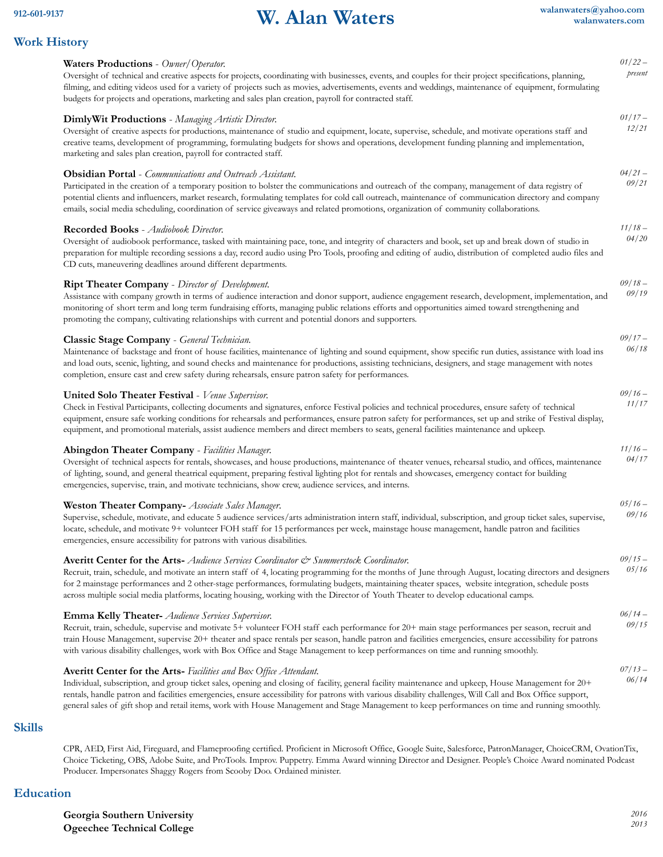# **912-601-9137 W. Alan Waters**

*01/22 –*

*01/17 – 12/21*

*04/21 – 09/21*

*11/18 –*

*09/18 –*

*09/17 –*

*09/16 –*

*11/16 –*

*05/16 –*

*09/15 –*

*06/14 –*

*07/13 – 06/14*

# **Work History**

| Waters Productions - Owner/Operator. |  |  |
|--------------------------------------|--|--|
|--------------------------------------|--|--|

Oversight of technical and creative aspects for projects, coordinating with businesses, events, and couples for their project specifications, planning, filming, and editing videos used for a variety of projects such as movies, advertisements, events and weddings, maintenance of equipment, formulating budgets for projects and operations, marketing and sales plan creation, payroll for contracted staff. *present*

# **DimlyWit Productions** - *Managing Artistic Director.* Oversight of creative aspects for productions, maintenance of studio and equipment, locate, supervise, schedule, and motivate operations staff and creative teams, development of programming, formulating budgets for shows and operations, development funding planning and implementation, marketing and sales plan creation, payroll for contracted staff. **Obsidian Portal** - *Communications and Outreach Assistant.*

Participated in the creation of a temporary position to bolster the communications and outreach of the company, management of data registry of potential clients and influencers, market research, formulating templates for cold call outreach, maintenance of communication directory and company emails, social media scheduling, coordination of service giveaways and related promotions, organization of community collaborations.

## **Recorded Books** - *Audiobook Director.*

Oversight of audiobook performance, tasked with maintaining pace, tone, and integrity of characters and book, set up and break down of studio in preparation for multiple recording sessions a day, record audio using Pro Tools, proofing and editing of audio, distribution of completed audio files and CD cuts, maneuvering deadlines around different departments. *04/20*

#### **Ript Theater Company** - *Director of Development.*

Assistance with company growth in terms of audience interaction and donor support, audience engagement research, development, implementation, and monitoring of short term and long term fundraising efforts, managing public relations efforts and opportunities aimed toward strengthening and promoting the company, cultivating relationships with current and potential donors and supporters. *09/19*

#### **Classic Stage Company** - *General Technician.*

Maintenance of backstage and front of house facilities, maintenance of lighting and sound equipment, show specific run duties, assistance with load ins and load outs, scenic, lighting, and sound checks and maintenance for productions, assisting technicians, designers, and stage management with notes completion, ensure cast and crew safety during rehearsals, ensure patron safety for performances. *06/18*

| United Solo Theater Festival - Venue Supervisor. |  |  |  |  |
|--------------------------------------------------|--|--|--|--|
|--------------------------------------------------|--|--|--|--|

Check in Festival Participants, collecting documents and signatures, enforce Festival policies and technical procedures, ensure safety of technical equipment, ensure safe working conditions for rehearsals and performances, ensure patron safety for performances, set up and strike of Festival display, equipment, and promotional materials, assist audience members and direct members to seats, general facilities maintenance and upkeep. *11/17*

## **Abingdon Theater Company** - *Facilities Manager.*

Oversight of technical aspects for rentals, showcases, and house productions, maintenance of theater venues, rehearsal studio, and offices, maintenance of lighting, sound, and general theatrical equipment, preparing festival lighting plot for rentals and showcases, emergency contact for building emergencies, supervise, train, and motivate technicians, show crew, audience services, and interns. *04/17*

#### **Weston Theater Company-** *Associate Sales Manager*.

Supervise, schedule, motivate, and educate 5 audience services/arts administration intern staff, individual, subscription, and group ticket sales, supervise, locate, schedule, and motivate 9+ volunteer FOH staff for 15 performances per week, mainstage house management, handle patron and facilities emergencies, ensure accessibility for patrons with various disabilities. *09/16*

## **Averitt Center for the Arts-** *Audience Services Coordinator & Summerstock Coordinator.*

Recruit, train, schedule, and motivate an intern staff of 4, locating programming for the months of June through August, locating directors and designers for 2 mainstage performances and 2 other-stage performances, formulating budgets, maintaining theater spaces, website integration, schedule posts across multiple social media platforms, locating housing, working with the Director of Youth Theater to develop educational camps. *05/16*

#### **Emma Kelly Theater-** *Audience Services Supervisor.*

Recruit, train, schedule, supervise and motivate 5+ volunteer FOH staff each performance for 20+ main stage performances per season, recruit and train House Management, supervise 20+ theater and space rentals per season, handle patron and facilities emergencies, ensure accessibility for patrons with various disability challenges, work with Box Office and Stage Management to keep performances on time and running smoothly. *09/15*

#### **Averitt Center for the Arts-** *Facilities and Box Of ice Attendant.*

Individual, subscription, and group ticket sales, opening and closing of facility, general facility maintenance and upkeep, House Management for 20+ rentals, handle patron and facilities emergencies, ensure accessibility for patrons with various disability challenges, Will Call and Box Office support, general sales of gift shop and retail items, work with House Management and Stage Management to keep performances on time and running smoothly.

## **Skills**

CPR, AED, First Aid, Fireguard, and Flameproofing certified. Proficient in Microsoft Office, Google Suite, Salesforce, PatronManager, ChoiceCRM, OvationTix, Choice Ticketing, OBS, Adobe Suite, and ProTools. Improv. Puppetry. Emma Award winning Director and Designer. People's Choice Award nominated Podcast Producer. Impersonates Shaggy Rogers from Scooby Doo. Ordained minister.

# **Education**